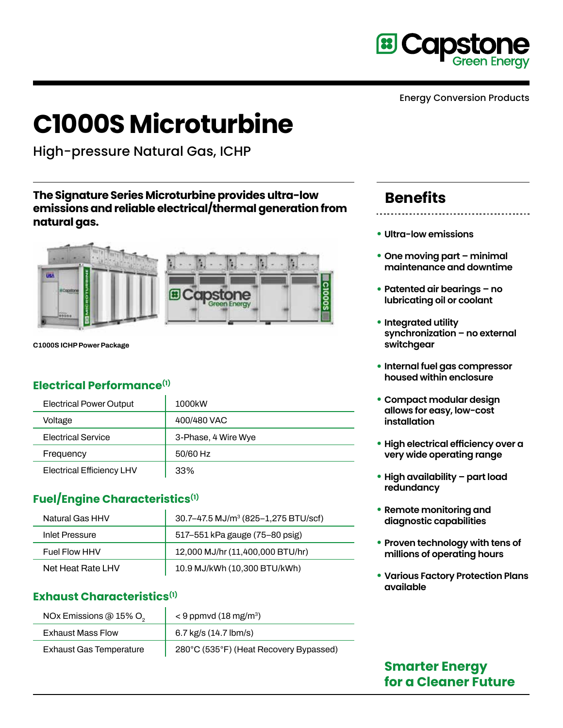

Energy Conversion Products

# **C1000S Microturbine**

High-pressure Natural Gas, ICHP

**The Signature Series Microturbine provides ultra-low emissions and reliable electrical/thermal generation from natural gas.**



**C1000S ICHP Power Package**

#### **Electrical Performance(1)**

| <b>Electrical Power Output</b>   | 1000kW              |
|----------------------------------|---------------------|
| Voltage                          | 400/480 VAC         |
| <b>Electrical Service</b>        | 3-Phase, 4 Wire Wye |
| Frequency                        | 50/60 Hz            |
| <b>Electrical Efficiency LHV</b> | 33%                 |

#### **Fuel/Engine Characteristics(1)**

| Natural Gas HHV       | 30.7–47.5 MJ/m <sup>3</sup> (825–1,275 BTU/scf) |
|-----------------------|-------------------------------------------------|
| <b>Inlet Pressure</b> | 517-551 kPa gauge (75-80 psig)                  |
| Fuel Flow HHV         | 12,000 MJ/hr (11,400,000 BTU/hr)                |
| Net Heat Rate LHV     | 10.9 MJ/kWh (10,300 BTU/kWh)                    |

#### **Exhaust Characteristics(1)**

| NOx Emissions @ 15% O <sub>2</sub> | $<$ 9 ppmvd (18 mg/m <sup>3</sup> )    |
|------------------------------------|----------------------------------------|
| <b>Exhaust Mass Flow</b>           | 6.7 kg/s $(14.7$ lbm/s)                |
| <b>Exhaust Gas Temperature</b>     | 280°C (535°F) (Heat Recovery Bypassed) |

## **Benefits**

- **Ultra-low emissions**
- **• One moving part minimal maintenance and downtime**
- **• Patented air bearings no lubricating oil or coolant**
- **• Integrated utility synchronization – no external switchgear**
- **• Internal fuel gas compressor housed within enclosure**
- **• Compact modular design allows for easy, low-cost installation**
- **• High electrical efficiency over a very wide operating range**
- **• High availability part load redundancy**
- **• Remote monitoring and diagnostic capabilities**
- **• Proven technology with tens of millions of operating hours**
- **• Various Factory Protection Plans available**

### **Smarter Energy for a Cleaner Future**